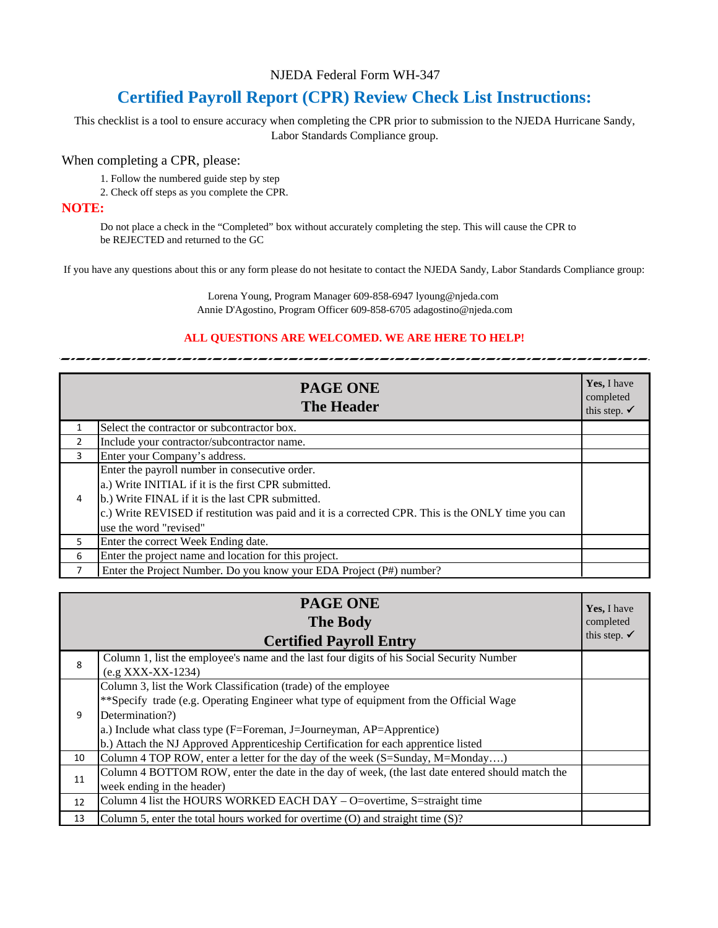### NJEDA Federal Form WH-347

# **Certified Payroll Report (CPR) Review Check List Instructions:**

This checklist is a tool to ensure accuracy when completing the CPR prior to submission to the NJEDA Hurricane Sandy, Labor Standards Compliance group.

## When completing a CPR, please:

- 1. Follow the numbered guide step by step
- 2. Check off steps as you complete the CPR.

#### **NOTE:**

Do not place a check in the "Completed" box without accurately completing the step. This will cause the CPR to be REJECTED and returned to the GC

If you have any questions about this or any form please do not hesitate to contact the NJEDA Sandy, Labor Standards Compliance group:

Lorena Young, Program Manager 609-858-6947 lyoung@njeda.com Annie D'Agostino, Program Officer 609-858-6705 adagostino@njeda.com

## **ALL QUESTIONS ARE WELCOMED. WE ARE HERE TO HELP!**

,,,,,,,,,,,,,,,,,,,,,,,,,,,,,,,

|                | <b>PAGE ONE</b><br><b>The Header</b>                                                                                                                                                                                                                                                      | Yes, I have<br>completed<br>this step. $\checkmark$ |
|----------------|-------------------------------------------------------------------------------------------------------------------------------------------------------------------------------------------------------------------------------------------------------------------------------------------|-----------------------------------------------------|
|                | Select the contractor or subcontractor box.                                                                                                                                                                                                                                               |                                                     |
| $\overline{2}$ | Include your contractor/subcontractor name.                                                                                                                                                                                                                                               |                                                     |
| 3              | Enter your Company's address.                                                                                                                                                                                                                                                             |                                                     |
| 4              | Enter the payroll number in consecutive order.<br>a.) Write INITIAL if it is the first CPR submitted.<br>b.) Write FINAL if it is the last CPR submitted.<br>c.) Write REVISED if restitution was paid and it is a corrected CPR. This is the ONLY time you can<br>use the word "revised" |                                                     |
| 5.             | Enter the correct Week Ending date.                                                                                                                                                                                                                                                       |                                                     |
| 6              | Enter the project name and location for this project.                                                                                                                                                                                                                                     |                                                     |
|                | Enter the Project Number. Do you know your EDA Project (P#) number?                                                                                                                                                                                                                       |                                                     |

|    | <b>PAGE ONE</b>                                                                                 | Yes, I have                          |
|----|-------------------------------------------------------------------------------------------------|--------------------------------------|
|    | <b>The Body</b>                                                                                 | completed<br>this step. $\checkmark$ |
|    | <b>Certified Payroll Entry</b>                                                                  |                                      |
| 8  | Column 1, list the employee's name and the last four digits of his Social Security Number       |                                      |
|    | $(e.g. XXX-XX-1234)$                                                                            |                                      |
| 9  | Column 3, list the Work Classification (trade) of the employee                                  |                                      |
|    | **Specify trade (e.g. Operating Engineer what type of equipment from the Official Wage          |                                      |
|    | Determination?)                                                                                 |                                      |
|    | a.) Include what class type (F=Foreman, J=Journeyman, AP=Apprentice)                            |                                      |
|    | b.) Attach the NJ Approved Apprenticeship Certification for each apprentice listed              |                                      |
| 10 | Column 4 TOP ROW, enter a letter for the day of the week (S=Sunday, M=Monday)                   |                                      |
| 11 | Column 4 BOTTOM ROW, enter the date in the day of week, (the last date entered should match the |                                      |
|    | week ending in the header)                                                                      |                                      |
| 12 | Column 4 list the HOURS WORKED EACH DAY – O=overtime, S=straight time                           |                                      |
| 13 | Column 5, enter the total hours worked for overtime (O) and straight time $(S)$ ?               |                                      |